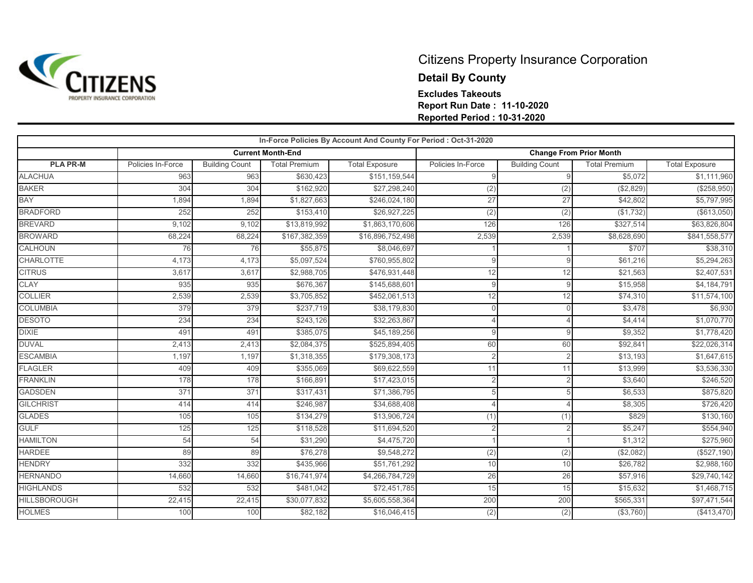

## Citizens Property Insurance Corporation **Detail By County Excludes Takeouts Report Run Date : 11-10-2020 Reported Period : 10-31-2020**

| In-Force Policies By Account And County For Period : Oct-31-2020 |                   |                       |                          |                       |                                |                       |                      |                       |  |  |
|------------------------------------------------------------------|-------------------|-----------------------|--------------------------|-----------------------|--------------------------------|-----------------------|----------------------|-----------------------|--|--|
|                                                                  |                   |                       | <b>Current Month-End</b> |                       | <b>Change From Prior Month</b> |                       |                      |                       |  |  |
| <b>PLA PR-M</b>                                                  | Policies In-Force | <b>Building Count</b> | <b>Total Premium</b>     | <b>Total Exposure</b> | Policies In-Force              | <b>Building Count</b> | <b>Total Premium</b> | <b>Total Exposure</b> |  |  |
| <b>ALACHUA</b>                                                   | 963               | 963                   | \$630,423                | \$151,159,544         | $\mathbf{Q}$                   |                       | \$5,072              | \$1,111,960           |  |  |
| <b>BAKER</b>                                                     | 304               | 304                   | \$162,920                | \$27,298,240          | (2)                            | (2)                   | (\$2,829)            | (\$258,950)           |  |  |
| <b>BAY</b>                                                       | 1,894             | 1,894                 | \$1,827,663              | \$246,024,180         | 27                             | 27                    | \$42,802             | \$5,797,995           |  |  |
| <b>BRADFORD</b>                                                  | 252               | 252                   | \$153,410                | \$26,927,225          | (2)                            | (2)                   | (\$1,732)            | (\$613,050)           |  |  |
| <b>BREVARD</b>                                                   | 9,102             | 9,102                 | \$13,819,992             | \$1,863,170,606       | 126                            | 126                   | \$327,514            | \$63,826,804          |  |  |
| <b>BROWARD</b>                                                   | 68,224            | 68,224                | \$167,382,359            | \$16,896,752,498      | 2,539                          | 2,539                 | \$8,628,690          | \$841,558,577         |  |  |
| CALHOUN                                                          | 76                | 76                    | \$55,875                 | \$8,046,697           |                                |                       | \$707                | \$38,310              |  |  |
| <b>CHARLOTTE</b>                                                 | 4,173             | 4,173                 | \$5,097,524              | \$760,955,802         | o                              |                       | \$61,216             | \$5,294,263           |  |  |
| <b>CITRUS</b>                                                    | 3,617             | 3,617                 | \$2,988,705              | \$476,931,448         | 12                             | 12                    | \$21,563             | \$2,407,531           |  |  |
| <b>CLAY</b>                                                      | 935               | 935                   | \$676,367                | \$145,688,601         | 9                              | Q                     | \$15,958             | \$4,184,791           |  |  |
| <b>COLLIER</b>                                                   | 2,539             | 2,539                 | \$3,705,852              | \$452,061,513         | 12                             | 12                    | \$74,310             | \$11,574,100          |  |  |
| <b>COLUMBIA</b>                                                  | 379               | 379                   | \$237,719                | \$38,179,830          | $\cap$                         |                       | \$3,478              | \$6,930               |  |  |
| <b>DESOTO</b>                                                    | 234               | 234                   | \$243,126                | \$32,263,867          |                                |                       | \$4,414              | \$1,070,770           |  |  |
| <b>DIXIE</b>                                                     | 491               | 491                   | \$385,075                | \$45,189,256          | o                              |                       | \$9,352              | \$1,778,420           |  |  |
| <b>DUVAL</b>                                                     | 2,413             | 2,413                 | \$2,084,375              | \$525,894,405         | 60                             | 60                    | \$92,841             | \$22,026,314          |  |  |
| <b>ESCAMBIA</b>                                                  | 1,197             | 1,197                 | \$1,318,355              | \$179,308,173         | $\mathcal{D}$                  |                       | \$13,193             | \$1,647,615           |  |  |
| <b>FLAGLER</b>                                                   | 409               | 409                   | \$355,069                | \$69,622,559          | 11                             | 11                    | \$13,999             | \$3,536,330           |  |  |
| <b>FRANKLIN</b>                                                  | 178               | 178                   | \$166,891                | \$17,423,015          |                                |                       | \$3,640              | \$246,520             |  |  |
| <b>GADSDEN</b>                                                   | 371               | 371                   | \$317,431                | \$71,386,795          |                                |                       | \$6,533              | \$875,820             |  |  |
| <b>GILCHRIST</b>                                                 | 414               | 414                   | \$246,987                | \$34,688,408          |                                |                       | \$8,305              | \$726,420             |  |  |
| <b>GLADES</b>                                                    | 105               | 105                   | \$134,279                | \$13,906,724          | (1)                            | (1)                   | \$829                | \$130,160             |  |  |
| <b>GULF</b>                                                      | 125               | 125                   | \$118,528                | \$11,694,520          | $\mathfrak{D}$                 |                       | \$5,247              | \$554,940             |  |  |
| <b>HAMILTON</b>                                                  | 54                | 54                    | \$31,290                 | \$4,475,720           |                                |                       | \$1,312              | \$275,960             |  |  |
| <b>HARDEE</b>                                                    | 89                | 89                    | \$76,278                 | \$9,548,272           | (2)                            | (2)                   | (\$2,082)            | (\$527,190)           |  |  |
| <b>HENDRY</b>                                                    | 332               | 332                   | \$435,966                | \$51,761,292          | 10                             | 10                    | \$26,782             | \$2,988,160           |  |  |
| <b>HERNANDO</b>                                                  | 14,660            | 14,660                | \$16,741,974             | \$4,266,784,729       | 26                             | 26                    | \$57,916             | \$29,740,142          |  |  |
| <b>HIGHLANDS</b>                                                 | 532               | 532                   | \$481,042                | \$72,451,785          | 15                             | 15                    | \$15,632             | \$1,468,715           |  |  |
| <b>HILLSBOROUGH</b>                                              | 22,415            | 22,415                | \$30,077,832             | \$5,605,558,364       | 200                            | 200                   | \$565,331            | \$97,471,544          |  |  |
| <b>HOLMES</b>                                                    | 100               | 100                   | \$82,182                 | \$16,046,415          | (2)                            | (2)                   | (\$3,760)            | (\$413,470)           |  |  |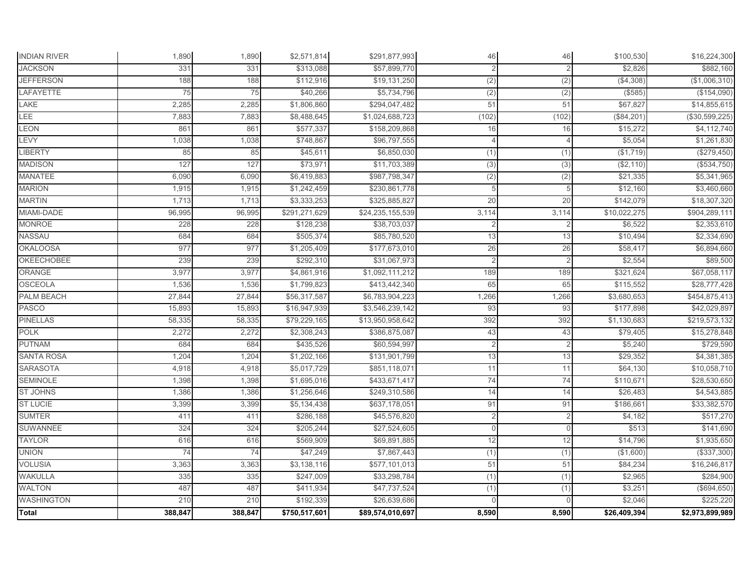| <b>INDIAN RIVER</b> | 1,890   | 1,890   | \$2,571,814   | \$291,877,993    | 46             | 46             | \$100,530    | \$16,224,300       |
|---------------------|---------|---------|---------------|------------------|----------------|----------------|--------------|--------------------|
| <b>JACKSON</b>      | 331     | 331     | \$313,088     | \$57,899,770     |                | $\overline{2}$ | \$2,826      | \$882,160          |
| <b>JEFFERSON</b>    | 188     | 188     | \$112,916     | \$19,131,250     | (2)            | (2)            | (\$4,308)    | (\$1,006,310)      |
| LAFAYETTE           | 75      | 75      | \$40,266      | \$5,734,796      | (2)            | (2)            | (\$585)      | (\$154,090)        |
| LAKE                | 2,285   | 2,285   | \$1,806,860   | \$294,047,482    | 51             | 51             | \$67,827     | \$14,855,615       |
| LEE                 | 7,883   | 7,883   | \$8,488,645   | \$1,024,688,723  | (102)          | (102)          | (\$84,201    | (\$30,599,225)     |
| LEON                | 861     | 861     | \$577,337     | \$158,209,868    | 16             | 16             | \$15,272     | $\sqrt{4,112,740}$ |
| LEVY                | 1,038   | 1,038   | \$748,867     | \$96,797,555     |                |                | \$5,054      | \$1,261,830        |
| <b>LIBERTY</b>      | 85      | 85      | \$45,611      | \$6,850,030      | (1)            | (1)            | (\$1,719)    | (\$279,450)        |
| <b>MADISON</b>      | 127     | 127     | \$73,971      | \$11,703,389     | (3)            | (3)            | (\$2,110)    | (\$534,750)        |
| <b>MANATEE</b>      | 6,090   | 6,090   | \$6,419,883   | \$987,798,347    | (2)            | (2)            | \$21,335     | \$5,341,965        |
| <b>MARION</b>       | 1,915   | 1,915   | \$1,242,459   | \$230,861,778    | 5              | 5              | \$12,160     | \$3,460,660        |
| <b>MARTIN</b>       | 1,713   | 1,713   | \$3,333,253   | \$325,885,827    | 20             | 20             | \$142,079    | \$18,307,320       |
| MIAMI-DADE          | 96,995  | 96,995  | \$291,271,629 | \$24,235,155,539 | 3,114          | 3,114          | \$10,022,275 | \$904,289,111      |
| <b>MONROE</b>       | 228     | 228     | \$128,238     | \$38,703,037     |                | $\overline{2}$ | \$6,522      | \$2,353,610        |
| NASSAU              | 684     | 684     | \$505,374     | \$85,780,520     | 13             | 13             | \$10,494     | \$2,334,690        |
| <b>OKALOOSA</b>     | 977     | 977     | \$1,205,409   | \$177,673,010    | 26             | 26             | \$58,417     | \$6,894,660        |
| <b>OKEECHOBEE</b>   | 239     | 239     | \$292,310     | \$31,067,973     | $\overline{2}$ |                | \$2,554      | \$89,500           |
| ORANGE              | 3,977   | 3,977   | \$4,861,916   | \$1,092,111,212  | 189            | 189            | \$321,624    | \$67,058,117       |
| <b>OSCEOLA</b>      | 1,536   | 1,536   | \$1,799,823   | \$413,442,340    | 65             | 65             | \$115,552    | \$28,777,428       |
| PALM BEACH          | 27,844  | 27,844  | \$56,317,587  | \$6,783,904,223  | 1,266          | 1,266          | \$3,680,653  | \$454,875,413      |
| <b>PASCO</b>        | 15,893  | 15,893  | \$16,947,939  | \$3,546,239,142  | 93             | 93             | \$177,898    | \$42,029,897       |
| <b>PINELLAS</b>     | 58,335  | 58,335  | \$79,229,165  | \$13,950,958,642 | 392            | 392            | \$1,130,683  | \$219,573,132      |
| <b>POLK</b>         | 2,272   | 2,272   | \$2,308,243   | \$386,875,087    | 43             | 43             | \$79,405     | \$15,278,848       |
| <b>PUTNAM</b>       | 684     | 684     | \$435,526     | \$60,594,997     |                | $\overline{2}$ | \$5,240      | \$729,590          |
| <b>SANTA ROSA</b>   | 1,204   | 1,204   | \$1,202,166   | \$131,901,799    | 13             | 13             | \$29,352     | \$4,381,385        |
| <b>SARASOTA</b>     | 4,918   | 4,918   | \$5,017,729   | \$851,118,071    | 11             | 11             | \$64,130     | \$10,058,710       |
| <b>SEMINOLE</b>     | 1,398   | 1,398   | \$1,695,016   | \$433,671,417    | 74             | 74             | \$110,67'    | \$28,530,650       |
| <b>ST JOHNS</b>     | 1,386   | 1,386   | \$1,256,646   | \$249,310,586    | 14             | 14             | \$26,483     | \$4,543,885        |
| <b>ST LUCIE</b>     | 3,399   | 3,399   | \$5,134,438   | \$637,178,051    | 91             | 91             | \$186,661    | \$33,382,570       |
| <b>SUMTER</b>       | 411     | 411     | \$286,188     | \$45,576,820     |                | $\overline{2}$ | \$4,182      | \$517,270          |
| <b>SUWANNEE</b>     | 324     | 324     | \$205,244     | \$27,524,605     | $\Omega$       | $\Omega$       | \$513        | \$141,690          |
| <b>TAYLOR</b>       | 616     | 616     | \$569,909     | \$69,891,885     | 12             | 12             | \$14,796     | \$1,935,650        |
| <b>UNION</b>        | 74      | 74      | \$47,249      | \$7,867,443      | (1)            | (1)            | (\$1,600)    | (\$337,300)        |
| <b>VOLUSIA</b>      | 3,363   | 3,363   | \$3,138,116   | \$577,101,013    | 51             | 51             | \$84,234     | \$16,246,817       |
| <b>WAKULLA</b>      | 335     | 335     | \$247,009     | \$33,298,784     | (1)            | (1)            | \$2,965      | \$284,900          |
| <b>WALTON</b>       | 487     | 487     | \$411,934     | \$47,737,524     | (1)            | (1)            | \$3,251      | $($ \$694,650)     |
| <b>WASHINGTON</b>   | 210     | 210     | \$192,339     | \$26,639,686     |                |                | \$2,046      | \$225,220          |
| Total               | 388,847 | 388,847 | \$750,517,601 | \$89,574,010,697 | 8,590          | 8,590          | \$26,409,394 | \$2,973,899,989    |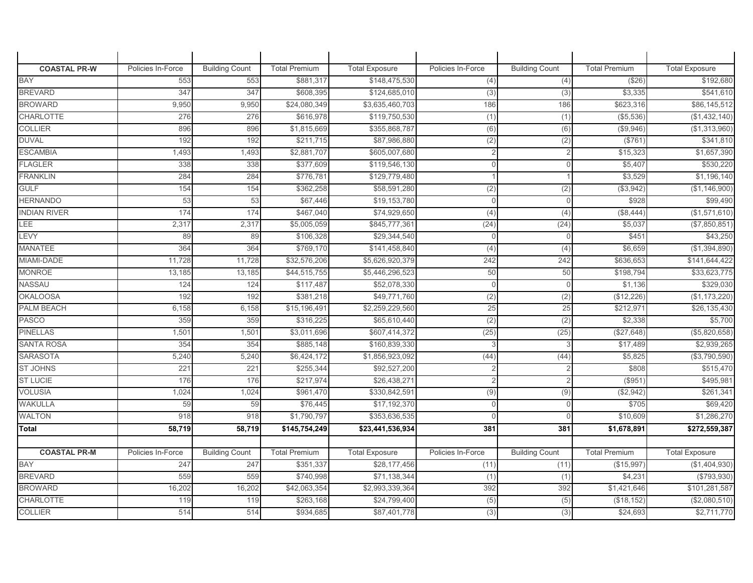| <b>COASTAL PR-W</b> | Policies In-Force | <b>Building Count</b> | <b>Total Premium</b> | <b>Total Exposure</b> | Policies In-Force | <b>Building Count</b> | <b>Total Premium</b> | <b>Total Exposure</b> |
|---------------------|-------------------|-----------------------|----------------------|-----------------------|-------------------|-----------------------|----------------------|-----------------------|
| <b>BAY</b>          | 553               | 553                   | \$881,317            | \$148,475,530         | (4)               | (4)                   | (\$26)               | \$192,680             |
| <b>BREVARD</b>      | 347               | 347                   | \$608,395            | \$124,685,010         | (3)               | (3)                   | \$3,335              | \$541,610             |
| <b>BROWARD</b>      | 9,950             | 9,950                 | \$24,080,349         | \$3,635,460,703       | 186               | 186                   | \$623,316            | \$86,145,512          |
| <b>CHARLOTTE</b>    | 276               | 276                   | \$616,978            | \$119,750,530         | (1)               | (1)                   | (\$5,536)            | (\$1,432,140)         |
| <b>COLLIER</b>      | 896               | 896                   | \$1,815,669          | \$355,868,787         | (6)               | (6)                   | (\$9,946)            | (\$1,313,960)         |
| <b>DUVAL</b>        | 192               | 192                   | \$211,715            | \$87,986,880          | (2)               | (2)                   | (\$761"              | \$341,810             |
| <b>ESCAMBIA</b>     | ,493              | 1,493                 | \$2,881,707          | \$605,007,680         | $\overline{2}$    | $\overline{2}$        | \$15,323             | \$1,657,390           |
| <b>FLAGLER</b>      | 338               | 338                   | \$377,609            | \$119,546,130         | $\cap$            |                       | \$5,407              | \$530,220             |
| <b>FRANKLIN</b>     | 284               | 284                   | \$776,781            | \$129,779,480         |                   |                       | \$3,529              | \$1,196,140           |
| <b>GULF</b>         | 154               | 154                   | \$362,258            | \$58,591,280          | (2)               | (2)                   | (\$3,942)            | (\$1,146,900)         |
| <b>HERNANDO</b>     | 53                | 53                    | \$67,446             | \$19,153,780          | $\Omega$          | $\Omega$              | \$928                | \$99,490              |
| <b>INDIAN RIVER</b> | 174               | 174                   | \$467,040            | \$74,929,650          | (4)               | (4)                   | (\$8,444)            | (\$1,571,610)         |
| LEE                 | 2,317             | 2,317                 | \$5,005,059          | \$845,777,361         | (24)              | (24)                  | \$5,037              | (\$7,850,851)         |
| LEVY                | 89                | 89                    | \$106,328            | \$29,344,540          | $\cap$            |                       | \$45                 | \$43,250              |
| <b>MANATEE</b>      | 364               | 364                   | \$769,170            | \$141,458,840         | (4)               | (4)                   | \$6,659              | (\$1,394,890)         |
| MIAMI-DADE          | 11,728            | 11,728                | \$32,576,206         | \$5,626,920,379       | 242               | 242                   | \$636,653            | \$141,644,422         |
| <b>MONROE</b>       | 13,185            | 13,185                | \$44,515,755         | \$5,446,296,523       | 50                | 50                    | \$198,794            | \$33,623,775          |
| <b>NASSAU</b>       | 124               | 124                   | \$117,487            | \$52,078,330          | $\mathbf 0$       | $\mathbf{0}$          | \$1,136              | \$329,030             |
| <b>OKALOOSA</b>     | 192               | 192                   | \$381,218            | \$49,771,760          | (2)               | (2)                   | (\$12,226)           | (\$1,173,220)         |
| PALM BEACH          | 6,158             | 6,158                 | \$15,196,491         | \$2,259,229,560       | 25                | 25                    | \$212,971            | \$26,135,430          |
| <b>PASCO</b>        | 359               | 359                   | \$316,225            | \$65,610,440          | (2)               | (2)                   | \$2,338              | \$5,700               |
| <b>PINELLAS</b>     | 1,501             | 1,50'                 | \$3,011,696          | \$607,414,372         | (25)              | (25)                  | (\$27,648)           | (\$5,820,658)         |
| <b>SANTA ROSA</b>   | 354               | 354                   | \$885,148            | \$160,839,330         |                   | 3                     | \$17,489             | \$2,939,265           |
| <b>SARASOTA</b>     | 5,240             | 5,240                 | \$6,424,172          | \$1,856,923,092       | (44)              | (44)                  | \$5,825              | (\$3,790,590)         |
| <b>ST JOHNS</b>     | 221               | 221                   | \$255,344            | \$92,527,200          |                   | 2                     | \$808                | \$515,470             |
| <b>ST LUCIE</b>     | 176               | 176                   | \$217,974            | \$26,438,271          |                   | $\overline{2}$        | $($ \$951            | \$495,981             |
| <b>VOLUSIA</b>      | 1,024             | 1,024                 | \$961,470            | \$330,842,591         | (9)               | (9)                   | (\$2,942             | \$261,341             |
| <b>WAKULLA</b>      | 59                | 59                    | \$76,445             | \$17,192,370          | $\Omega$          | $\Omega$              | \$705                | \$69,420              |
| <b>WALTON</b>       | 918               | 918                   | \$1,790,797          | \$353,636,535         | $\cap$            |                       | \$10,609             | \$1,286,270           |
| Total               | 58,719            | 58,719                | \$145,754,249        | \$23,441,536,934      | 381               | 381                   | \$1,678,891          | \$272,559,387         |
|                     |                   |                       |                      |                       |                   |                       |                      |                       |
| <b>COASTAL PR-M</b> | Policies In-Force | <b>Building Count</b> | <b>Total Premium</b> | <b>Total Exposure</b> | Policies In-Force | <b>Building Count</b> | <b>Total Premium</b> | <b>Total Exposure</b> |
| BAY                 | 247               | 247                   | \$351,337            | \$28,177,456          | (11)              | (11)                  | (\$15,997)           | (\$1,404,930)         |
| <b>BREVARD</b>      | 559               | 559                   | \$740,998            | \$71,138,344          | (1)               | (1)                   | \$4,23'              | (\$793,930)           |
| <b>BROWARD</b>      | 16,202            | 16,202                | \$42,063,354         | \$2,993,339,364       | 392               | 392                   | \$1,421,646          | \$101,281,587         |
| CHARLOTTE           | 119               | 119                   | \$263,168            | \$24,799,400          | (5)               | (5)                   | (\$18, 152)          | (\$2,080,510)         |
| <b>COLLIER</b>      | 514               | 514                   | \$934,685            | \$87,401,778          | (3)               | (3)                   | \$24,693             | \$2,711,770           |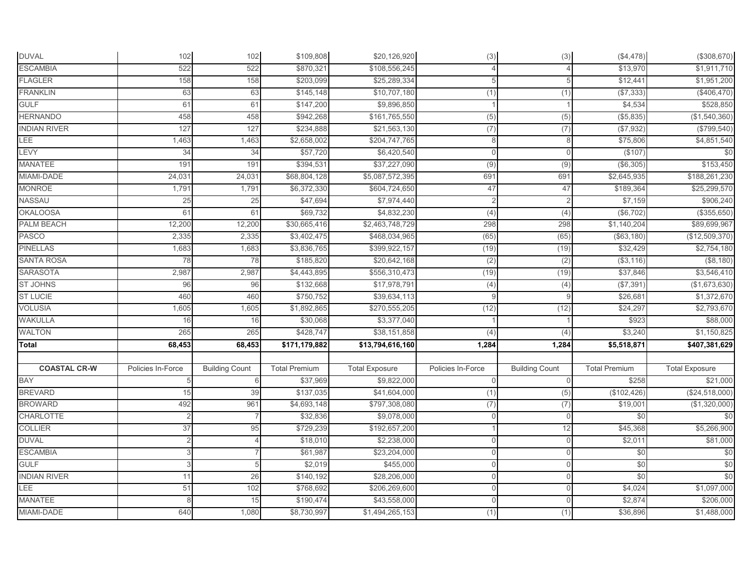| <b>DUVAL</b>        | 102               | 102                   | \$109,808            | \$20,126,920          | (3)               | (3)                   | (\$4,478)            | (\$308,670)           |
|---------------------|-------------------|-----------------------|----------------------|-----------------------|-------------------|-----------------------|----------------------|-----------------------|
| <b>ESCAMBIA</b>     | 522               | 522                   | \$870,321            | \$108,556,245         |                   |                       | \$13,970             | \$1,911,710           |
| <b>FLAGLER</b>      | 158               | 158                   | \$203,099            | \$25,289,334          |                   | 5                     | \$12,44'             | \$1,951,200           |
| <b>FRANKLIN</b>     | 63                | 63                    | \$145,148            | \$10,707,180          | (1)               | (1)                   | (\$7,333)            | (\$406,470)           |
| <b>GULF</b>         | 61                | 61                    | \$147,200            | \$9,896,850           |                   |                       | \$4,534              | \$528,850             |
| <b>HERNANDO</b>     | 458               | 458                   | \$942,268            | \$161,765,550         | (5)               | $\overline{(5)}$      | (\$5,835)            | (\$1,540,360)         |
| <b>INDIAN RIVER</b> | 127               | 127                   | \$234,888            | \$21,563,130          | (7)               | (7)                   | (\$7,932)            | (\$799,540)           |
| LEE                 | 1,463             | 1,463                 | \$2,658,002          | \$204,747,765         |                   | 8                     | \$75,806             | \$4,851,540           |
| LEVY                | 34                | 34                    | \$57,720             | \$6,420,540           |                   | $\Omega$              | (\$107)              | \$0                   |
| <b>MANATEE</b>      | 191               | 191                   | \$394,531            | \$37,227,090          | (9)               | (9)                   | (\$6,305)            | \$153,450             |
| MIAMI-DADE          | 24,031            | 24,031                | \$68,804,128         | \$5,087,572,395       | 691               | 691                   | \$2,645,935          | \$188,261,230         |
| <b>MONROE</b>       | 1,791             | 1,791                 | \$6,372,330          | \$604,724,650         | 47                | 47                    | \$189,364            | \$25,299,570          |
| NASSAU              | 25                | 25                    | \$47,694             | \$7,974,440           |                   | $\overline{2}$        | \$7,159              | \$906,240             |
| <b>OKALOOSA</b>     | 61                | 61                    | \$69,732             | \$4,832,230           | (4)               | (4)                   | (\$6,702)            | (\$355,650)           |
| PALM BEACH          | 12,200            | 12,200                | \$30,665,416         | \$2,463,748,729       | 298               | 298                   | \$1,140,204          | \$89,699,967          |
| <b>PASCO</b>        | 2,335             | 2,335                 | \$3,402,475          | \$468,034,965         | (65)              | (65)                  | (\$63,180)           | (\$12,509,370)        |
| <b>PINELLAS</b>     | 1,683             | 1,683                 | \$3,836,765          | \$399,922,157         | (19)              | (19)                  | \$32,429             | \$2,754,180           |
| <b>SANTA ROSA</b>   | 78                | 78                    | \$185,820            | \$20,642,168          | (2)               | (2)                   | (\$3, 116)           | (\$8,180)             |
| <b>SARASOTA</b>     | 2,987             | 2,987                 | \$4,443,895          | \$556,310,473         | (19)              | (19)                  | \$37,846             | \$3,546,410           |
| ST JOHNS            | 96                | 96                    | \$132,668            | \$17,978,791          | (4)               | (4)                   | (\$7,391)            | (\$1,673,630)         |
| <b>ST LUCIE</b>     | 460               | 460                   | \$750,752            | \$39,634,113          | 9                 | 9                     | \$26,68'             | \$1,372,670           |
| <b>VOLUSIA</b>      | 1,605             | 1,605                 | \$1,892,865          | \$270,555,205         | (12)              | (12)                  | \$24,297             | \$2,793,670           |
| WAKULLA             | 16                | 16                    | \$30,068             | \$3,377,040           |                   |                       | \$923                | \$88,000              |
| <b>WALTON</b>       | 265               | 265                   | \$428,747            | \$38,151,858          | (4)               | (4)                   | \$3,240              | \$1,150,825           |
| Total               | 68,453            | 68,453                | \$171,179,882        | \$13,794,616,160      | 1,284             | 1,284                 | \$5,518,871          | \$407,381,629         |
|                     |                   |                       |                      |                       |                   |                       |                      |                       |
| <b>COASTAL CR-W</b> | Policies In-Force | <b>Building Count</b> | <b>Total Premium</b> | <b>Total Exposure</b> | Policies In-Force | <b>Building Count</b> | <b>Total Premium</b> | <b>Total Exposure</b> |
| <b>BAY</b>          |                   | 6                     | \$37,969             | \$9,822,000           | $\Omega$          | $\Omega$              | \$258                | \$21,000              |
| <b>BREVARD</b>      | 15                | 39                    | \$137,035            | \$41,604,000          | (1)               | (5)                   | (\$102, 426)         | (\$24,518,000)        |
| <b>BROWARD</b>      | 492               | 961                   | \$4,693,148          | \$797,308,080         | (7)               | (7)                   | \$19,00'             | (\$1,320,000)         |
| <b>CHARLOTTE</b>    |                   |                       | \$32,836             | \$9,078,000           |                   | $\mathbf 0$           | \$0                  | \$0                   |
| <b>COLLIER</b>      | 37                | 95                    | \$729,239            | \$192,657,200         |                   | 12                    | \$45,368             | \$5,266,900           |
| <b>DUVAL</b>        |                   |                       | \$18,010             | \$2,238,000           | $\Omega$          | $\Omega$              | \$2,011              | \$81,000              |
| <b>ESCAMBIA</b>     |                   |                       | \$61,987             | \$23,204,000          | $\Omega$          | $\Omega$              | \$0                  | \$0                   |
| <b>GULF</b>         |                   | 5                     | \$2,019              | \$455,000             | 0                 | $\mathbf{0}$          | \$0                  | \$0                   |
| <b>INDIAN RIVER</b> | 11                | 26                    | \$140,192            | \$28,206,000          |                   | $\Omega$              | \$0                  | \$0                   |
| <b>LEE</b>          | 51                | 102                   | \$768,692            | \$206,269,600         | $\cap$            | $\Omega$              | \$4,024              | \$1,097,000           |
| <b>MANATEE</b>      |                   | 15                    | \$190,474            | \$43,558,000          |                   | $\Omega$              | \$2,874              | \$206,000             |
| MIAMI-DADE          | 640               | 1,080                 | \$8,730,997          | \$1,494,265,153       | (1)               | (1)                   | \$36,896             | \$1,488,000           |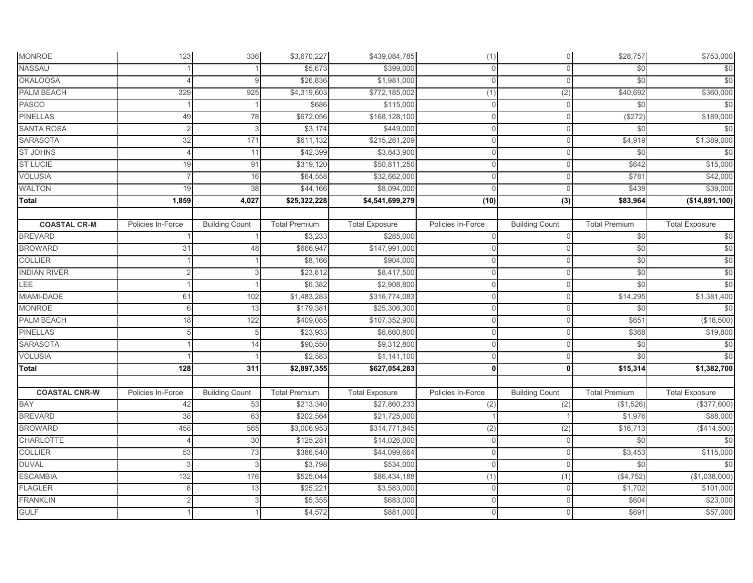| <b>MONROE</b>        | 123               | 336                   | \$3,670,227          | \$439,084,785         | (1)               | $\overline{O}$        | \$28,757             | \$753,000             |
|----------------------|-------------------|-----------------------|----------------------|-----------------------|-------------------|-----------------------|----------------------|-----------------------|
| <b>NASSAU</b>        |                   |                       | \$5,673              | \$399,000             | $\Omega$          | $\Omega$              | \$0                  | \$0                   |
| <b>OKALOOSA</b>      |                   |                       | \$26,836             | \$1,981,000           |                   |                       | \$0                  | \$0                   |
| <b>PALM BEACH</b>    | 329               | 925                   | \$4,319,603          | \$772,185,002         | (1)               | (2)                   | \$40,692             | \$360,000             |
| <b>PASCO</b>         |                   |                       | \$686                | \$115,000             | $\overline{0}$    | $\Omega$              | \$0                  | \$0                   |
| <b>PINELLAS</b>      | 49                | 78                    | \$672,056            | \$168,128,100         | $\cap$            | U                     | (\$272)              | \$189,000             |
| <b>SANTA ROSA</b>    |                   | 3                     | \$3,174              | \$449,000             | $\Omega$          | O                     | \$0                  | \$0                   |
| <b>SARASOTA</b>      | 32                | 171                   | \$611,132            | \$215,281,209         | $\Omega$          | 0                     | \$4,919              | \$1,389,000           |
| <b>ST JOHNS</b>      |                   | 11                    | \$42,399             | \$3,843,900           | $\cap$            | U                     | \$0                  | \$0                   |
| <b>ST LUCIE</b>      | 19                | 91                    | \$319,120            | \$50,811,250          | $\Omega$          | $\Omega$              | \$642                | \$15,000              |
| <b>VOLUSIA</b>       |                   | 16                    | \$64,558             | \$32,662,000          | $\Omega$          | $\Omega$              | \$781                | \$42,000              |
| <b>WALTON</b>        | 19                | 38                    | \$44,166             | \$8,094,000           | $\Omega$          | $\Omega$              | \$439                | \$39,000              |
| <b>Total</b>         | 1,859             | 4,027                 | \$25,322,228         | \$4,541,699,279       | (10)              | $\overline{3)}$       | \$83,964             | (\$14,891,100)        |
|                      |                   |                       |                      |                       |                   |                       |                      |                       |
| <b>COASTAL CR-M</b>  | Policies In-Force | <b>Building Count</b> | <b>Total Premium</b> | <b>Total Exposure</b> | Policies In-Force | <b>Building Count</b> | <b>Total Premium</b> | <b>Total Exposure</b> |
| <b>BREVARD</b>       |                   |                       | \$3,233              | \$285,000             | $\Omega$          | U                     | \$0                  | \$0                   |
| <b>BROWARD</b>       | 31                | 48                    | \$666,947            | \$147,991,000         | $\cap$            | U                     | \$0                  | \$0                   |
| <b>COLLIER</b>       |                   |                       | \$8,166              | \$904,000             | $\cap$            | O                     | \$0                  | \$0                   |
| <b>INDIAN RIVER</b>  |                   |                       | \$23,812             | \$8,417,500           | $\Omega$          | 0                     | \$0                  | \$0                   |
| LEE                  |                   |                       | \$6,382              | \$2,908,800           | $\Omega$          |                       | \$0                  | \$0                   |
| MIAMI-DADE           | 61                | 102                   | \$1,483,283          | \$316,774,083         | $\Omega$          | O                     | \$14,295             | \$1,381,400           |
| <b>MONROE</b>        | 6                 | 13                    | \$179,381            | \$25,306,300          | $\Omega$          | $\Omega$              | \$0                  | \$0                   |
| PALM BEACH           | 18                | 122                   | \$409,085            | \$107,352,900         | $\Omega$          | 0                     | \$651                | (\$18,500)            |
| <b>PINELLAS</b>      |                   | 5                     | \$23,933             | \$6,660,800           | $\Omega$          | $\Omega$              | \$368                | \$19,800              |
| <b>SARASOTA</b>      |                   | 14                    | \$90,550             | \$9,312,800           | $\Omega$          | 0                     | \$0                  | \$0                   |
| <b>VOLUSIA</b>       |                   |                       | \$2,583              | \$1,141,100           | $\cap$            | O                     | \$0                  | \$0                   |
| Total                | 128               | 311                   | \$2,897,355          | \$627,054,283         | $\mathbf{0}$      | $\mathbf{0}$          | \$15,314             | \$1,382,700           |
| <b>COASTAL CNR-W</b> | Policies In-Force | <b>Building Count</b> | <b>Total Premium</b> | <b>Total Exposure</b> | Policies In-Force | <b>Building Count</b> | <b>Total Premium</b> | <b>Total Exposure</b> |
| <b>BAY</b>           | 42                | 53                    | \$213,340            | \$27,860,233          | (2)               | (2)                   | (\$1,526)            | (\$377,600)           |
| <b>BREVARD</b>       | 38                | 63                    | \$202,564            | \$21,725,000          |                   |                       | \$1,976              | \$88,000              |
| <b>BROWARD</b>       | 458               | 565                   | \$3,006,953          | \$314,771,845         | (2)               | (2)                   | \$16,713             | (\$414,500)           |
| CHARLOTTE            |                   | 30                    | \$125,281            | \$14,026,000          | $\Omega$          | <sup>0</sup>          | \$0                  | \$0                   |
| <b>COLLIER</b>       | 53                | 73                    | \$386,540            | \$44,099,664          | $\Omega$          | $\Omega$              | \$3,453              | \$115,000             |
| <b>DUVAL</b>         |                   | 3                     | \$3,798              | \$534,000             | $\Omega$          | $\Omega$              | \$0                  | \$0                   |
| <b>ESCAMBIA</b>      | 132               | 176                   | \$525,044            | \$86,434,188          | (1)               | (1)                   | (\$4,752)            | (\$1,038,000)         |
| <b>FLAGLER</b>       | 8                 | 13                    | \$25,221             | \$3,583,000           | $\Omega$          | $\Omega$              | \$1,702              | \$101,000             |
| <b>FRANKLIN</b>      |                   |                       | \$5,355              | \$683,000             | $\cap$            | U                     | \$604                | \$23,000              |
| <b>GULF</b>          |                   |                       |                      |                       |                   |                       |                      |                       |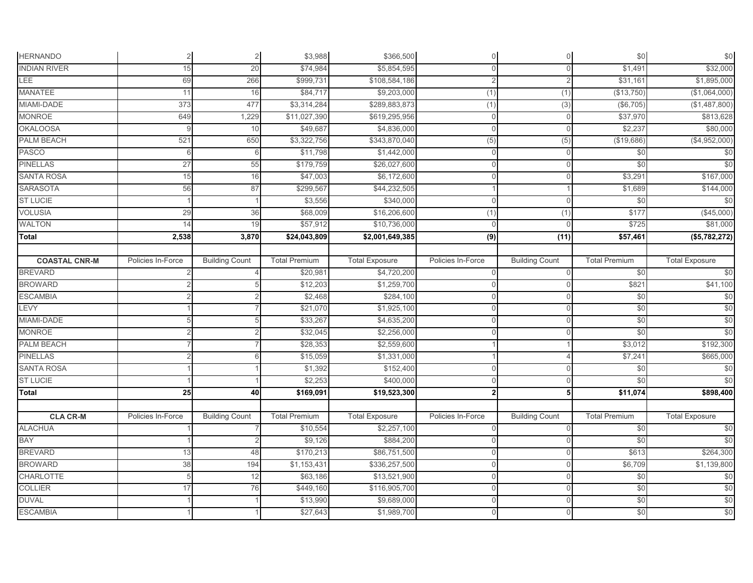| <b>HERNANDO</b>      | $\overline{2}$    | $\mathbf{2}$          | \$3,988              | \$366,500             | $\Omega$          | $\overline{O}$        | \$0                  | $\$0$                 |
|----------------------|-------------------|-----------------------|----------------------|-----------------------|-------------------|-----------------------|----------------------|-----------------------|
| <b>INDIAN RIVER</b>  | 15                | 20                    | \$74,984             | \$5,854,595           | $\Omega$          | $\Omega$              | \$1,491              | \$32,000              |
| LEE                  | 69                | 266                   | \$999,731            | \$108,584,186         |                   | $\overline{2}$        | \$31,161             | \$1,895,000           |
| <b>MANATEE</b>       | 11                | 16                    | \$84,717             | \$9,203,000           | (1)               | (1)                   | (\$13,750)           | (\$1,064,000)         |
| MIAMI-DADE           | 373               | 477                   | \$3,314,284          | \$289,883,873         | (1)               | (3)                   | (\$6,705)            | (\$1,487,800)         |
| <b>MONROE</b>        | 649               | 1,229                 | \$11,027,390         | \$619,295,956         | $\Omega$          |                       | \$37,970             | \$813,628             |
| <b>OKALOOSA</b>      |                   | 10                    | \$49,687             | \$4,836,000           | $\Omega$          | $\Omega$              | \$2,237              | \$80,000              |
| PALM BEACH           | 521               | 650                   | \$3,322,756          | \$343,870,040         | (5)               | (5)                   | (\$19,686)           | (\$4,952,000)         |
| <b>PASCO</b>         |                   | 6                     | \$11,798             | \$1,442,000           | $\cap$            |                       | \$0                  | \$0                   |
| <b>PINELLAS</b>      | 27                | 55                    | \$179,759            | \$26,027,600          | $\Omega$          | 0                     | \$0                  | \$0                   |
| <b>SANTA ROSA</b>    | 15                | 16                    | \$47,003             | \$6,172,600           | $\Omega$          | $\Omega$              | \$3,291              | \$167,000             |
| <b>SARASOTA</b>      | 56                | 87                    | \$299,567            | \$44,232,505          |                   |                       | \$1,689              | \$144,000             |
| <b>ST LUCIE</b>      |                   |                       | \$3,556              | \$340,000             | $\Omega$          | 0                     | \$0                  | \$0                   |
| <b>VOLUSIA</b>       | 29                | 36                    | \$68,009             | \$16,206,600          | (1)               | (1)                   | \$177                | (\$45,000)            |
| <b>WALTON</b>        | 14                | 19                    | \$57,912             | \$10,736,000          | $\cap$            |                       | \$725                | \$81,000              |
| Total                | 2,538             | 3,870                 | \$24,043,809         | \$2,001,649,385       | $\overline{19}$   | (11)                  | \$57,461             | (\$5,782,272)         |
|                      |                   |                       |                      |                       |                   |                       |                      |                       |
| <b>COASTAL CNR-M</b> | Policies In-Force | <b>Building Count</b> | <b>Total Premium</b> | <b>Total Exposure</b> | Policies In-Force | <b>Building Count</b> | <b>Total Premium</b> | <b>Total Exposure</b> |
| <b>BREVARD</b>       |                   |                       | \$20,981             | \$4,720,200           | $\Omega$          | $\Omega$              | \$0                  | \$0                   |
| <b>BROWARD</b>       |                   |                       | \$12,203             | \$1,259,700           | $\cap$            |                       | \$821                | \$41,100              |
| <b>ESCAMBIA</b>      |                   |                       | \$2,468              | \$284,100             | n                 |                       | \$0                  | \$0                   |
| <b>LEVY</b>          |                   |                       | \$21,070             | \$1,925,100           | $\Omega$          | $\Omega$              | \$0                  | \$0                   |
| MIAMI-DADE           |                   |                       | \$33,267             | \$4,635,200           | $\Omega$          | 0                     | \$0                  | \$0                   |
| <b>MONROE</b>        |                   |                       | \$32,045             | \$2,256,000           | $\cap$            |                       | \$0                  | \$0                   |
| PALM BEACH           |                   |                       | \$28,353             | \$2,559,600           |                   |                       | \$3,012              | \$192,300             |
| <b>PINELLAS</b>      |                   |                       | \$15,059             | \$1,331,000           |                   |                       | \$7,241              | \$665,000             |
| <b>SANTA ROSA</b>    |                   |                       | \$1,392              | \$152,400             | U                 |                       | \$0                  | \$0                   |
| <b>ST LUCIE</b>      |                   |                       | \$2,253              | \$400,000             | $\cap$            | $\Omega$              | \$0                  | \$0                   |
| <b>Total</b>         | $\overline{25}$   | 40                    | \$169,091            | \$19,523,300          | $\overline{2}$    | 5 <sup>1</sup>        | \$11,074             | \$898,400             |
|                      |                   |                       |                      |                       |                   |                       |                      |                       |
| <b>CLA CR-M</b>      | Policies In-Force | <b>Building Count</b> | <b>Total Premium</b> | <b>Total Exposure</b> | Policies In-Force | <b>Building Count</b> | <b>Total Premium</b> | <b>Total Exposure</b> |
| <b>ALACHUA</b>       |                   |                       | \$10,554             | \$2,257,100           | $\cap$            | $\Omega$              | \$0                  | \$0                   |
| <b>BAY</b>           |                   |                       | \$9,126              | \$884,200             |                   |                       | \$0                  | \$0                   |
| <b>BREVARD</b>       | 13                | 48                    | \$170,213            | \$86,751,500          | $\Omega$          | $\Omega$              | \$613                | \$264,300             |
| <b>BROWARD</b>       | 38                | 194                   | \$1,153,431          | \$336,257,500         | $\Omega$          | 0                     | \$6,709              | \$1,139,800           |
| CHARLOTTE            |                   | 12                    | \$63,186             | \$13,521,900          | $\cap$            | U                     | \$0                  | \$0                   |
| <b>COLLIER</b>       | 17                | 76                    | \$449,160            | \$116,905,700         | $\Omega$          | $\Omega$              | \$0                  | \$0                   |
| <b>DUVAL</b>         |                   |                       | \$13,990             | \$9,689,000           | C                 | O                     | \$0                  | \$0                   |
| <b>ESCAMBIA</b>      |                   |                       | \$27,643             | \$1,989,700           | O                 | $\mathbf{0}$          | $\frac{6}{3}$        | \$0                   |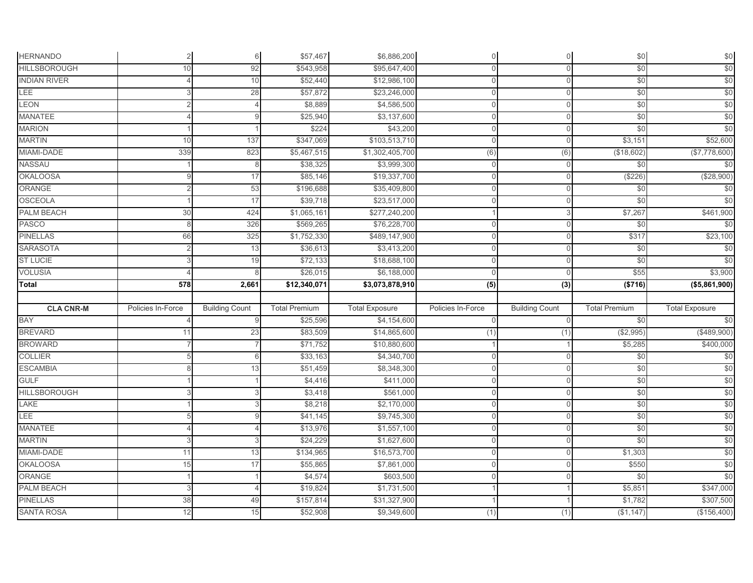| <b>HERNANDO</b>     | $\overline{2}$    | 6                     | \$57,467             | \$6,886,200           | $\mathbf{0}$      | $\mathsf{O}\xspace$   | \$0                  | $$0$$                           |
|---------------------|-------------------|-----------------------|----------------------|-----------------------|-------------------|-----------------------|----------------------|---------------------------------|
| <b>HILLSBOROUGH</b> | 10                | 92                    | \$543,958            | \$95,647,400          | $\Omega$          | $\Omega$              | \$0                  | \$0                             |
| <b>INDIAN RIVER</b> |                   | 10                    | \$52,440             | \$12,986,100          | $\cap$            | U                     | \$0                  | \$0                             |
| <b>LEE</b>          |                   | 28                    | \$57,872             | \$23,246,000          | $\Omega$          | $\mathbf{0}$          | \$0                  | \$0                             |
| <b>LEON</b>         |                   |                       | \$8,889              | \$4,586,500           | $\Omega$          | $\Omega$              | \$0                  | \$0                             |
| <b>MANATEE</b>      |                   | g                     | \$25,940             | \$3,137,600           | $\Omega$          | 0                     | \$0                  | \$0                             |
| <b>MARION</b>       |                   |                       | \$224                | \$43,200              | $\Omega$          | $\Omega$              | \$0                  | \$0                             |
| <b>MARTIN</b>       | 10                | 137                   | \$347,069            | \$103,513,710         | $\Omega$          | $\Omega$              | \$3,151              | \$52,600                        |
| MIAMI-DADE          | 339               | 823                   | \$5,467,515          | \$1,302,405,700       | (6)               | (6)                   | (\$18,602)           | (\$7,778,600)                   |
| NASSAU              |                   | 8                     | \$38,325             | \$3,999,300           | $\Omega$          | $\Omega$              | \$0                  | \$0                             |
| <b>OKALOOSA</b>     | g                 | 17                    | \$85,146             | \$19,337,700          | $\Omega$          | $\mathbf{0}$          | (\$226)              | (\$28,900)                      |
| ORANGE              |                   | 53                    | \$196,688            | \$35,409,800          | $\Omega$          | $\mathbf{0}$          | \$0                  | \$0                             |
| <b>OSCEOLA</b>      |                   | 17                    | \$39,718             | \$23,517,000          | $\Omega$          | O                     | \$0                  | \$0                             |
| <b>PALM BEACH</b>   | 30                | 424                   | \$1,065,161          | \$277,240,200         |                   | 3                     | \$7,267              | \$461,900                       |
| <b>PASCO</b>        |                   | 326                   | \$569,265            | \$76,228,700          |                   |                       | \$0                  | \$0                             |
| <b>PINELLAS</b>     | 66                | 325                   | \$1,752,330          | \$489,147,900         |                   | 0                     | \$317                | \$23,100                        |
| <b>SARASOTA</b>     |                   | 13                    | \$36,613             | \$3,413,200           | $\Omega$          | $\Omega$              | \$0                  | \$0                             |
| <b>ST LUCIE</b>     |                   | 19                    | \$72,133             | \$18,688,100          | $\Omega$          | $\Omega$              | \$0                  | \$0                             |
| <b>VOLUSIA</b>      |                   |                       | \$26,015             | \$6,188,000           | $\Omega$          | $\Omega$              | \$55                 | \$3,900                         |
|                     |                   |                       |                      |                       |                   |                       |                      |                                 |
| <b>Total</b>        | 578               | 2,661                 | \$12,340,071         | \$3,073,878,910       | (5)               | $\overline{3)}$       | ( \$716)             |                                 |
|                     |                   |                       |                      |                       |                   |                       |                      | (\$5,861,900)                   |
| <b>CLA CNR-M</b>    | Policies In-Force | <b>Building Count</b> | <b>Total Premium</b> | <b>Total Exposure</b> | Policies In-Force | <b>Building Count</b> | <b>Total Premium</b> | <b>Total Exposure</b>           |
| BAY                 |                   | 9                     | \$25,596             | \$4,154,600           | $\Omega$          | $\Omega$              | \$0                  | \$0                             |
| <b>BREVARD</b>      | 11                | 23                    | \$83,509             | \$14,865,600          | (1)               | (1)                   | (\$2,995)            |                                 |
| <b>BROWARD</b>      |                   |                       | \$71,752             | \$10,880,600          |                   |                       | \$5,285              |                                 |
| <b>COLLIER</b>      |                   | 6                     | \$33,163             | \$4,340,700           | $\cap$            |                       | \$0                  | (\$489,900)<br>\$400,000<br>\$0 |
| <b>ESCAMBIA</b>     |                   | 13                    | \$51,459             | \$8,348,300           | $\Omega$          | U                     | \$0                  | \$0                             |
| <b>GULF</b>         |                   |                       | \$4,416              | \$411,000             | $\Omega$          | 0                     | \$0                  | \$0                             |
| <b>HILLSBOROUGH</b> |                   |                       | \$3,418              | \$561,000             | $\Omega$          | $\Omega$              | \$0                  | \$0                             |
| LAKE                |                   |                       | \$8,218              | \$2,170,000           | $\Omega$          | 0                     | \$0                  | \$0                             |
| <b>LEE</b>          |                   |                       | \$41,145             | \$9,745,300           | $\Omega$          |                       | \$0                  | \$0                             |
| <b>MANATEE</b>      |                   |                       | \$13,976             | \$1,557,100           | $\Omega$          | 0                     | \$0                  | \$0                             |
| <b>MARTIN</b>       |                   |                       | \$24,229             | \$1,627,600           | $\cap$            | 0                     | \$0                  | \$0                             |
| MIAMI-DADE          | 11                | 13                    | \$134,965            | \$16,573,700          | $\Omega$          | $\mathbf{0}$          | \$1,303              | \$0                             |
| <b>OKALOOSA</b>     | 15                | 17                    | \$55,865             | \$7,861,000           | $\Omega$          | $\mathbf{0}$          | \$550                |                                 |
| ORANGE              |                   |                       | \$4,574              | \$603,500             | $\Omega$          | $\mathbf{0}$          | \$0                  | \$0<br>\$0                      |
| PALM BEACH          |                   |                       | \$19,824             | \$1,731,500           |                   |                       | \$5,851              |                                 |
| <b>PINELLAS</b>     | 38                | 49                    | \$157,814            | \$31,327,900          |                   |                       | \$1,782              | \$347,000<br>\$307,500          |